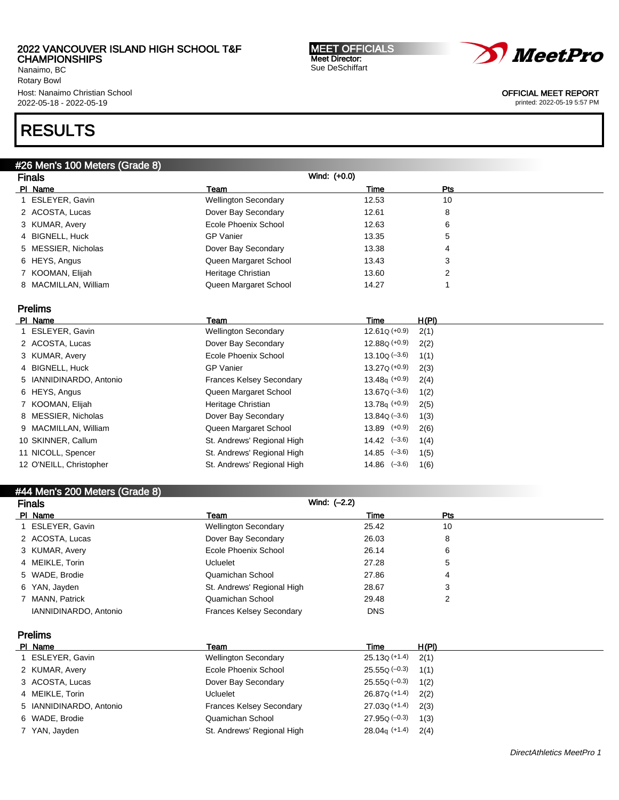Nanaimo, BC Rotary Bowl Host: Nanaimo Christian School 2022-05-18 - 2022-05-19

# RESULTS

#### #26 Men's 100 Meters (Grade 8)

| <b>Finals</b>        |                             | Wind: (+0.0) |     |  |
|----------------------|-----------------------------|--------------|-----|--|
| PI Name              | Team                        | Time         | Pts |  |
| 1 ESLEYER, Gavin     | <b>Wellington Secondary</b> | 12.53        | 10  |  |
| 2 ACOSTA, Lucas      | Dover Bay Secondary         | 12.61        | 8   |  |
| 3 KUMAR, Avery       | Ecole Phoenix School        | 12.63        | 6   |  |
| 4 BIGNELL, Huck      | <b>GP</b> Vanier            | 13.35        | 5   |  |
| 5 MESSIER, Nicholas  | Dover Bay Secondary         | 13.38        | 4   |  |
| 6 HEYS, Angus        | Queen Margaret School       | 13.43        | 3   |  |
| 7 KOOMAN, Elijah     | Heritage Christian          | 13.60        | 2   |  |
| 8 MACMILLAN, William | Queen Margaret School       | 14.27        |     |  |

### Prelims

| PI Name                 | Team                            | Time                 | H(PI) |
|-------------------------|---------------------------------|----------------------|-------|
| 1 ESLEYER, Gavin        | <b>Wellington Secondary</b>     | $12.61Q (+0.9)$      | 2(1)  |
| 2 ACOSTA, Lucas         | Dover Bay Secondary             | $12.88Q (+0.9)$      | 2(2)  |
| 3 KUMAR, Avery          | Ecole Phoenix School            | $13.10Q (-3.6)$      | 1(1)  |
| 4 BIGNELL, Huck         | <b>GP Vanier</b>                | $13.27Q (+0.9)$      | 2(3)  |
| 5 IANNIDINARDO, Antonio | <b>Frances Kelsey Secondary</b> | $13.48q$ (+0.9)      | 2(4)  |
| 6 HEYS, Angus           | Queen Margaret School           | $13.67Q (-3.6)$      | 1(2)  |
| 7 KOOMAN, Elijah        | Heritage Christian              | $13.78q$ (+0.9)      | 2(5)  |
| 8 MESSIER, Nicholas     | Dover Bay Secondary             | $13.84Q (-3.6)$      | 1(3)  |
| 9 MACMILLAN, William    | Queen Margaret School           | $13.89$ $(+0.9)$     | 2(6)  |
| 10 SKINNER, Callum      | St. Andrews' Regional High      | $14.42 \quad (-3.6)$ | 1(4)  |
| 11 NICOLL, Spencer      | St. Andrews' Regional High      | $14.85$ $(-3.6)$     | 1(5)  |
| 12 O'NEILL, Christopher | St. Andrews' Regional High      | $14.86$ $(-3.6)$     | 1(6)  |

#### #44 Men's 200 Meters (Grade 8)

| <b>Finals</b>    |                       |                                 | Wind: (-2.2) |            |  |
|------------------|-----------------------|---------------------------------|--------------|------------|--|
| PI Name          |                       | Team                            | Time         | <b>Pts</b> |  |
| 1 ESLEYER, Gavin |                       | <b>Wellington Secondary</b>     | 25.42        | 10         |  |
| 2 ACOSTA, Lucas  |                       | Dover Bay Secondary             | 26.03        | 8          |  |
| 3 KUMAR, Avery   |                       | Ecole Phoenix School            | 26.14        | 6          |  |
| 4 MEIKLE, Torin  |                       | <b>Ucluelet</b>                 | 27.28        | 5          |  |
| 5 WADE, Brodie   |                       | Quamichan School                | 27.86        | 4          |  |
| 6 YAN, Jayden    |                       | St. Andrews' Regional High      | 28.67        | 3          |  |
| 7 MANN, Patrick  |                       | Quamichan School                | 29.48        | 2          |  |
|                  | IANNIDINARDO, Antonio | <b>Frances Kelsey Secondary</b> | <b>DNS</b>   |            |  |

## Prelims

| PI Name                 | Team                            | Time                   | H(PI) |
|-------------------------|---------------------------------|------------------------|-------|
| ESLEYER, Gavin          | <b>Wellington Secondary</b>     | $25.13Q (+1.4)$ $2(1)$ |       |
| 2 KUMAR, Avery          | Ecole Phoenix School            | $25.55Q (-0.3)$ 1(1)   |       |
| 3 ACOSTA, Lucas         | Dover Bay Secondary             | $25.55Q (-0.3)$        | 1(2)  |
| 4 MEIKLE, Torin         | Ucluelet                        | $26.87Q (+1.4)$ $2(2)$ |       |
| 5 IANNIDINARDO, Antonio | <b>Frances Kelsey Secondary</b> | $27.03Q (+1.4)$ $2(3)$ |       |
| 6 WADE, Brodie          | Quamichan School                | $27.95Q (-0.3)$        | 1(3)  |
| 7 YAN, Jayden           | St. Andrews' Regional High      | $28.04q$ (+1.4)        | 2(4)  |





OFFICIAL MEET REPORT

printed: 2022-05-19 5:57 PM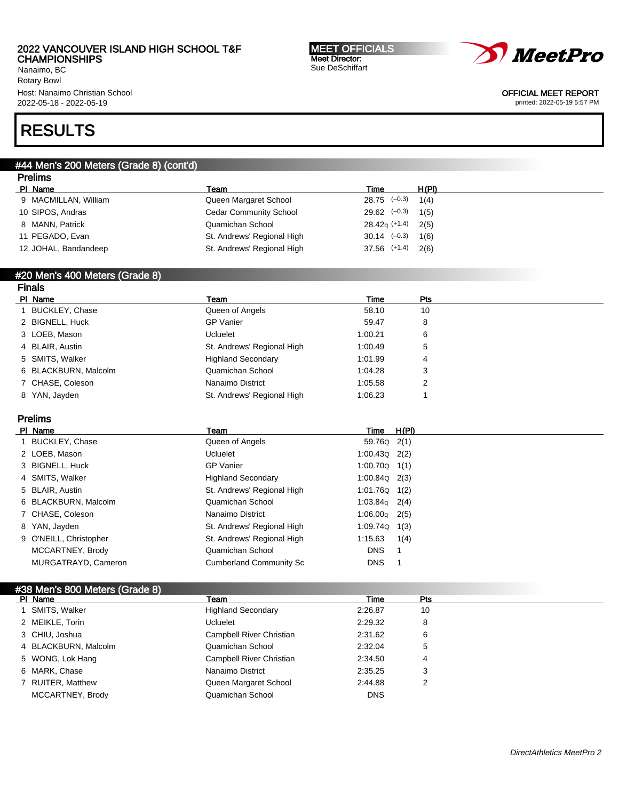Nanaimo, BC Rotary Bowl Host: Nanaimo Christian School 2022-05-18 - 2022-05-19

#### MEET OFFICIALS Meet Director: Sue DeSchiffart



OFFICIAL MEET REPORT

printed: 2022-05-19 5:57 PM

# RESULTS

### #44 Men's 200 Meters (Grade 8) (cont'd)

| <b>Prelims</b>       |                               |                      |       |
|----------------------|-------------------------------|----------------------|-------|
| PI Name              | Team                          | Time                 | H(PI) |
| 9 MACMILLAN, William | Queen Margaret School         | $28.75$ (-0.3)       | 1(4)  |
| 10 SIPOS, Andras     | <b>Cedar Community School</b> | $29.62$ $(-0.3)$     | 1(5)  |
| 8 MANN, Patrick      | Quamichan School              | $28.42q$ (+1.4)      | 2(5)  |
| 11 PEGADO, Evan      | St. Andrews' Regional High    | $30.14 \quad (-0.3)$ | 1(6)  |
| 12 JOHAL, Bandandeep | St. Andrews' Regional High    | $37.56$ $(+1.4)$     | 2(6)  |

#### #20 Men's 400 Meters (Grade 8) Finals

| <b>TRAD</b>          |                            |         |     |  |
|----------------------|----------------------------|---------|-----|--|
| PI Name              | Team                       | Time    | Pts |  |
| 1 BUCKLEY, Chase     | Queen of Angels            | 58.10   | 10  |  |
| 2 BIGNELL, Huck      | <b>GP Vanier</b>           | 59.47   | 8   |  |
| 3 LOEB, Mason        | Ucluelet                   | 1:00.21 | 6   |  |
| 4 BLAIR, Austin      | St. Andrews' Regional High | 1:00.49 | 5   |  |
| 5 SMITS, Walker      | <b>Highland Secondary</b>  | 1:01.99 | 4   |  |
| 6 BLACKBURN, Malcolm | Quamichan School           | 1:04.28 | 3   |  |
| 7 CHASE, Coleson     | Nanaimo District           | 1:05.58 | 2   |  |
| 8 YAN, Jayden        | St. Andrews' Regional High | 1:06.23 |     |  |
|                      |                            |         |     |  |

### Prelims

| Team                                                                                                                                                                                                                                    | Time       | H(PI)                                                                                                                                                    |
|-----------------------------------------------------------------------------------------------------------------------------------------------------------------------------------------------------------------------------------------|------------|----------------------------------------------------------------------------------------------------------------------------------------------------------|
| Queen of Angels                                                                                                                                                                                                                         |            |                                                                                                                                                          |
| Ucluelet                                                                                                                                                                                                                                |            |                                                                                                                                                          |
| <b>GP Vanier</b>                                                                                                                                                                                                                        |            |                                                                                                                                                          |
| <b>Highland Secondary</b>                                                                                                                                                                                                               |            |                                                                                                                                                          |
| St. Andrews' Regional High                                                                                                                                                                                                              |            |                                                                                                                                                          |
| Quamichan School                                                                                                                                                                                                                        |            |                                                                                                                                                          |
| Nanaimo District                                                                                                                                                                                                                        |            |                                                                                                                                                          |
| St. Andrews' Regional High                                                                                                                                                                                                              |            | 1(3)                                                                                                                                                     |
| St. Andrews' Regional High                                                                                                                                                                                                              |            | 1(4)                                                                                                                                                     |
| Quamichan School                                                                                                                                                                                                                        | <b>DNS</b> |                                                                                                                                                          |
| <b>Cumberland Community Sc</b>                                                                                                                                                                                                          | <b>DNS</b> |                                                                                                                                                          |
| PI Name<br>1 BUCKLEY, Chase<br>2 LOEB, Mason<br>3 BIGNELL, Huck<br>4 SMITS, Walker<br>5 BLAIR, Austin<br>6 BLACKBURN, Malcolm<br>7 CHASE, Coleson<br>8 YAN, Jayden<br>9 O'NEILL, Christopher<br>MCCARTNEY, Brody<br>MURGATRAYD, Cameron |            | 59.76Q 2(1)<br>$1:00.43Q$ 2(2)<br>$1:00.70Q$ $1(1)$<br>$1:00.84Q$ 2(3)<br>$1:01.76Q$ $1(2)$<br>$1:03.84q$ 2(4)<br>$1:06.00q$ 2(5)<br>1:09.74Q<br>1:15.63 |

### #38 Men's 800 Meters (Grade 8)

| PI Name              | Team                      | Time       | Pts |  |
|----------------------|---------------------------|------------|-----|--|
| 1 SMITS, Walker      | <b>Highland Secondary</b> | 2:26.87    | 10  |  |
| 2 MEIKLE, Torin      | Ucluelet                  | 2:29.32    | 8   |  |
| 3 CHIU, Joshua       | Campbell River Christian  | 2:31.62    | 6   |  |
| 4 BLACKBURN, Malcolm | Quamichan School          | 2:32.04    | 5   |  |
| 5 WONG, Lok Hang     | Campbell River Christian  | 2:34.50    | 4   |  |
| 6 MARK, Chase        | Nanaimo District          | 2:35.25    | 3   |  |
| 7 RUITER, Matthew    | Queen Margaret School     | 2:44.88    |     |  |
| MCCARTNEY, Brody     | Quamichan School          | <b>DNS</b> |     |  |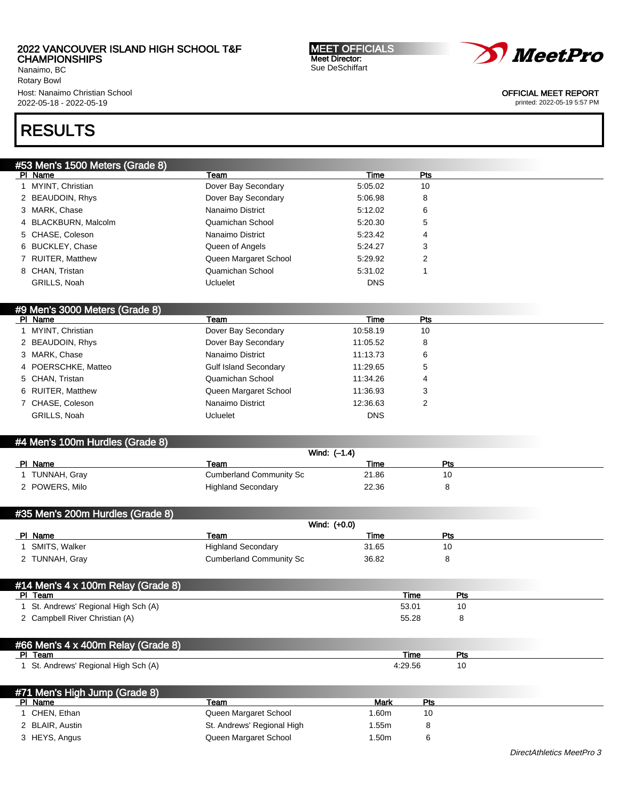Nanaimo, BC Rotary Bowl Host: Nanaimo Christian School 2022-05-18 - 2022-05-19

#### MEET OFFICIALS Meet Director: Sue DeSchiffart



OFFICIAL MEET REPORT

printed: 2022-05-19 5:57 PM

# RESULTS

| #53 Men's 1500 Meters (Grade 8) |                                    |                                        |                      |              |  |
|---------------------------------|------------------------------------|----------------------------------------|----------------------|--------------|--|
|                                 | PI Name                            | Team                                   | Time                 | Pts          |  |
|                                 | 1 MYINT, Christian                 | Dover Bay Secondary                    | 5:05.02              | 10           |  |
|                                 | 2 BEAUDOIN, Rhys                   | Dover Bay Secondary                    | 5:06.98              | 8            |  |
|                                 | 3 MARK, Chase                      | Nanaimo District                       | 5:12.02              | 6            |  |
|                                 | 4 BLACKBURN, Malcolm               | Quamichan School                       | 5:20.30              | 5            |  |
|                                 | 5 CHASE, Coleson                   | Nanaimo District                       | 5:23.42              | 4            |  |
|                                 | 6 BUCKLEY, Chase                   | Queen of Angels                        | 5:24.27              | 3            |  |
|                                 | 7 RUITER, Matthew                  | Queen Margaret School                  | 5:29.92              | 2            |  |
|                                 | 8 CHAN, Tristan                    | Quamichan School                       | 5:31.02              | $\mathbf{1}$ |  |
|                                 | GRILLS, Noah                       | Ucluelet                               | <b>DNS</b>           |              |  |
|                                 |                                    |                                        |                      |              |  |
|                                 | #9 Men's 3000 Meters (Grade 8)     |                                        |                      |              |  |
|                                 | PI Name                            | Team                                   | Time                 | Pts          |  |
| $\mathbf{1}$                    | MYINT, Christian                   | Dover Bay Secondary                    | 10:58.19             | 10           |  |
|                                 | 2 BEAUDOIN, Rhys                   | Dover Bay Secondary                    | 11:05.52             | 8            |  |
|                                 | 3 MARK, Chase                      | Nanaimo District                       | 11:13.73             | 6            |  |
| 4                               | POERSCHKE, Matteo                  | <b>Gulf Island Secondary</b>           | 11:29.65             | 5            |  |
|                                 | 5 CHAN, Tristan                    | Quamichan School                       | 11:34.26             |              |  |
|                                 | 6 RUITER, Matthew                  | Queen Margaret School                  | 11:36.93             | 3            |  |
|                                 | 7 CHASE, Coleson                   | Nanaimo District                       | 12:36.63             | 2            |  |
|                                 | GRILLS, Noah                       | <b>Ucluelet</b>                        | <b>DNS</b>           |              |  |
|                                 |                                    |                                        |                      |              |  |
|                                 | #4 Men's 100m Hurdles (Grade 8)    |                                        |                      |              |  |
|                                 |                                    |                                        | Wind: (-1.4)         |              |  |
|                                 | PI Name<br>1 TUNNAH, Gray          | Team<br><b>Cumberland Community Sc</b> | <b>Time</b><br>21.86 | Pts<br>10    |  |
|                                 |                                    |                                        |                      |              |  |
|                                 | 2 POWERS, Milo                     | <b>Highland Secondary</b>              | 22.36                | 8            |  |
|                                 |                                    |                                        |                      |              |  |
|                                 | #35 Men's 200m Hurdles (Grade 8)   |                                        |                      |              |  |
|                                 | PI Name                            | Team                                   | Wind: (+0.0)<br>Time | Pts          |  |
|                                 | SMITS, Walker                      | <b>Highland Secondary</b>              | 31.65                | 10           |  |
|                                 | 2 TUNNAH, Gray                     | <b>Cumberland Community Sc</b>         | 36.82                | 8            |  |
|                                 |                                    |                                        |                      |              |  |
|                                 | #11 Mon's 1 v 100m Dolou (Crodo 8) |                                        |                      |              |  |

| #14 Men's $4 \times 100$ m Relay (Grade 8) |       |     |  |
|--------------------------------------------|-------|-----|--|
| PI Team                                    | Time  | Pts |  |
| 1 St. Andrews' Regional High Sch (A)       | 53.01 |     |  |
| 2 Campbell River Christian (A)             | 55.28 |     |  |
|                                            |       |     |  |

#### #66 Men's 4 x 400m Relay (Grade 8)<br>PL Team Pl Team Time Pts 1 St. Andrews' Regional High Sch (A) 29.56 10

| #71 Men's High Jump (Grade 8) |                            |      |     |
|-------------------------------|----------------------------|------|-----|
| PI Name                       | Team                       | Mark | Pts |
| CHEN, Ethan                   | Queen Margaret School      | .60m | 10  |
| 2 BLAIR, Austin               | St. Andrews' Regional High | .55m |     |
| 3 HEYS, Angus                 | Queen Margaret School      | .50m |     |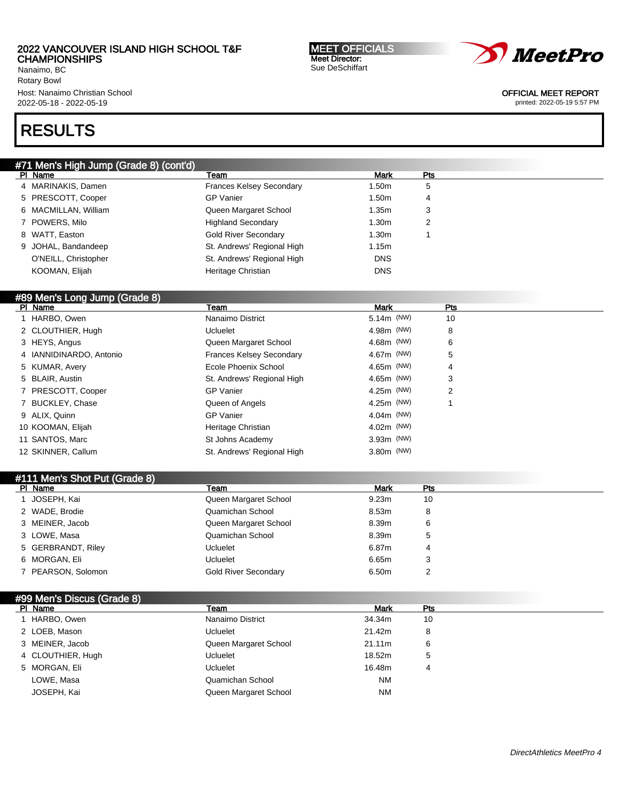Nanaimo, BC Rotary Bowl Host: Nanaimo Christian School 2022-05-18 - 2022-05-19

# RESULTS

| PI Name                       | Team                            | Mark        | Pts |     |
|-------------------------------|---------------------------------|-------------|-----|-----|
| 4 MARINAKIS, Damen            | <b>Frances Kelsey Secondary</b> | 1.50m       | 5   |     |
| 5 PRESCOTT, Cooper            | <b>GP Vanier</b>                | 1.50m       | 4   |     |
| 6 MACMILLAN, William          | Queen Margaret School           | 1.35m       | 3   |     |
| 7 POWERS, Milo                | <b>Highland Secondary</b>       | 1.30m       | 2   |     |
| 8 WATT, Easton                | <b>Gold River Secondary</b>     | 1.30m       | 1   |     |
| 9 JOHAL, Bandandeep           | St. Andrews' Regional High      | 1.15m       |     |     |
| O'NEILL, Christopher          | St. Andrews' Regional High      | <b>DNS</b>  |     |     |
| KOOMAN, Elijah                | Heritage Christian              | <b>DNS</b>  |     |     |
|                               |                                 |             |     |     |
| #89 Men's Long Jump (Grade 8) |                                 |             |     |     |
| PI Name                       | Team                            | <b>Mark</b> |     | Pts |
| 1 HARBO, Owen                 | Nanaimo District                | 5.14m (NW)  |     | 10  |
| 2 CLOUTHIER, Hugh             | <b>Ucluelet</b>                 | 4.98m (NW)  |     | 8   |
| 3 HEYS, Angus                 | Queen Margaret School           | 4.68m (NW)  |     | 6   |
| 4 IANNIDINARDO, Antonio       | <b>Frances Kelsey Secondary</b> | 4.67m (NW)  |     | 5   |
| 5 KUMAR, Avery                | Ecole Phoenix School            | 4.65m (NW)  |     | 4   |
| 5 BLAIR, Austin               | St. Andrews' Regional High      | 4.65m (NW)  |     | 3   |
| 7 PRESCOTT, Cooper            | <b>GP Vanier</b>                | 4.25m (NW)  |     | 2   |
| 7 BUCKLEY, Chase              | Queen of Angels                 | 4.25m (NW)  |     | 1   |
| 9 ALIX, Quinn                 | <b>GP Vanier</b>                | 4.04m (NW)  |     |     |
| 10 KOOMAN, Elijah             | Heritage Christian              | 4.02m (NW)  |     |     |
| 11 SANTOS, Marc               | St Johns Academy                | 3.93m (NW)  |     |     |
| 12 SKINNER, Callum            | St. Andrews' Regional High      | 3.80m (NW)  |     |     |
|                               |                                 |             |     |     |
| #111 Men's Shot Put (Grade 8) |                                 |             |     |     |
| PI Name                       | Team                            | <b>Mark</b> | Pts |     |
| 1 JOSEPH, Kai                 | Queen Margaret School           | 9.23m       | 10  |     |
| 2 WADE, Brodie                | Quamichan School                | 8.53m       | 8   |     |
| 3 MEINER, Jacob               | Queen Margaret School           | 8.39m       | 6   |     |
| 3 LOWE, Masa                  | Quamichan School                | 8.39m       | 5   |     |
| 5 GERBRANDT, Riley            | <b>Ucluelet</b>                 | 6.87m       | 4   |     |

Meet Director: Sue DeSchiffart

6 MORGAN, Eli Ucluelet 6.65m 3 7 PEARSON, Solomon **Cold River Secondary** 6.50m 2

Pl Name Team Mark Pts 1 HARBO, Owen Nanaimo District 34.34m 10 2 LOEB, Mason 21.42m 8 3 MEINER, Jacob Queen Margaret School 21.11m 6 4 CLOUTHIER, Hugh 18.52m 5 5 MORGAN, Eli Ucluelet 16.48m 4 LOWE, Masa Quamichan School NM JOSEPH, Kai **Margaret School NM** Queen Margaret School NM

#99 Men's Discus (Grade 8)

#71 Men's High Jump (Grade 8) (cont'd)

MEET OFFICIALS



OFFICIAL MEET REPORT printed: 2022-05-19 5:57 PM

DirectAthletics MeetPro 4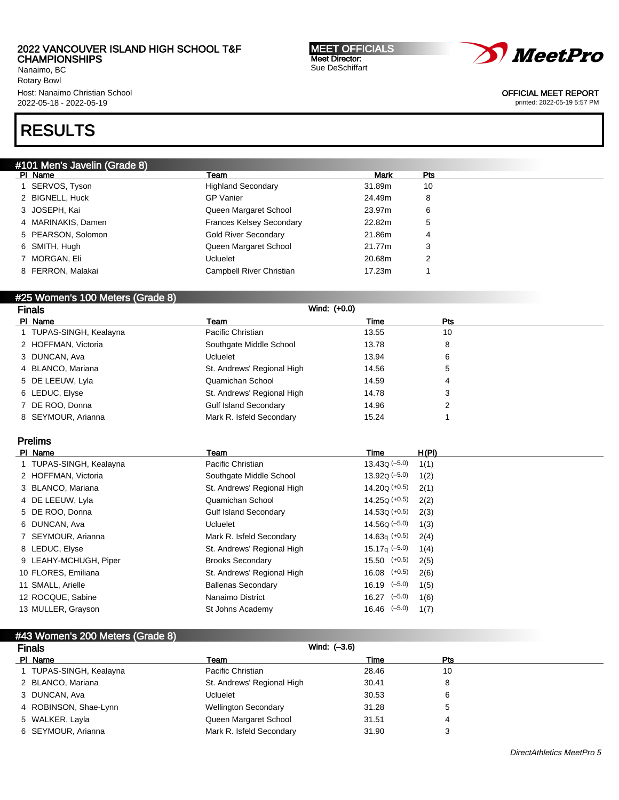Nanaimo, BC Rotary Bowl Host: Nanaimo Christian School 2022-05-18 - 2022-05-19

#### MEET OFFICIALS Meet Director: Sue DeSchiffart



OFFICIAL MEET REPORT

printed: 2022-05-19 5:57 PM

# RESULTS

| #101 Men's Javelin (Grade 8) |                                 |             |     |
|------------------------------|---------------------------------|-------------|-----|
| PI Name                      | Team                            | <b>Mark</b> | Pts |
| 1 SERVOS, Tyson              | <b>Highland Secondary</b>       | 31.89m      | 10  |
| 2 BIGNELL, Huck              | <b>GP Vanier</b>                | 24.49m      | 8   |
| 3 JOSEPH, Kai                | Queen Margaret School           | 23.97m      | 6   |
| 4 MARINAKIS, Damen           | <b>Frances Kelsey Secondary</b> | 22.82m      | 5   |
| 5 PEARSON, Solomon           | <b>Gold River Secondary</b>     | 21.86m      | 4   |
| 6 SMITH, Hugh                | Queen Margaret School           | 21.77m      | 3   |
| 7 MORGAN, Eli                | <b>Ucluelet</b>                 | 20.68m      | 2   |
| 8 FERRON, Malakai            | Campbell River Christian        | 17.23m      |     |
|                              |                                 |             |     |

#### #25 Women's 100 Meters (Grade 8)

| <b>Finals</b>           | Wind: (+0.0)                 |       |            |
|-------------------------|------------------------------|-------|------------|
| PI Name                 | Team                         | Time  | <b>Pts</b> |
| 1 TUPAS-SINGH, Kealayna | Pacific Christian            | 13.55 | 10         |
| 2 HOFFMAN, Victoria     | Southgate Middle School      | 13.78 | 8          |
| 3 DUNCAN, Ava           | Ucluelet                     | 13.94 | 6          |
| 4 BLANCO, Mariana       | St. Andrews' Regional High   | 14.56 | 5          |
| 5 DE LEEUW, Lyla        | Quamichan School             | 14.59 | 4          |
| 6 LEDUC, Elyse          | St. Andrews' Regional High   | 14.78 | 3          |
| 7 DE ROO, Donna         | <b>Gulf Island Secondary</b> | 14.96 | 2          |
| 8 SEYMOUR, Arianna      | Mark R. Isfeld Secondary     | 15.24 |            |

## Prelims

| PI Name                 | Team                         | Time                  | H(PI) |
|-------------------------|------------------------------|-----------------------|-------|
| 1 TUPAS-SINGH, Kealayna | Pacific Christian            | $13.43Q (-5.0)$       | 1(1)  |
| 2 HOFFMAN, Victoria     | Southgate Middle School      | $13.92Q(-5.0)$        | 1(2)  |
| 3 BLANCO, Mariana       | St. Andrews' Regional High   | $14.20Q (+0.5)$       | 2(1)  |
| 4 DE LEEUW, Lyla        | Quamichan School             | $14.25Q (+0.5)$       | 2(2)  |
| 5 DE ROO, Donna         | <b>Gulf Island Secondary</b> | $14.53Q (+0.5)$       | 2(3)  |
| 6 DUNCAN, Ava           | Ucluelet                     | $14.56Q (-5.0)$       | 1(3)  |
| 7 SEYMOUR, Arianna      | Mark R. Isfeld Secondary     | $14.63q$ (+0.5)       | 2(4)  |
| 8 LEDUC, Elyse          | St. Andrews' Regional High   | 15.17 $\sigma$ (-5.0) | 1(4)  |
| 9 LEAHY-MCHUGH, Piper   | <b>Brooks Secondary</b>      | $15.50$ $(+0.5)$      | 2(5)  |
| 10 FLORES, Emiliana     | St. Andrews' Regional High   | $16.08$ $(+0.5)$      | 2(6)  |
| 11 SMALL, Arielle       | <b>Ballenas Secondary</b>    | $16.19$ $(-5.0)$      | 1(5)  |
| 12 ROCQUE, Sabine       | Nanaimo District             | $16.27$ $(-5.0)$      | 1(6)  |
| 13 MULLER, Grayson      | St Johns Academy             | $16.46$ $(-5.0)$      | 1(7)  |

| #43 Women's 200 Meters (Grade 8)<br><b>Finals</b> | Wind: (-3.6)                |       |     |  |
|---------------------------------------------------|-----------------------------|-------|-----|--|
| PI Name                                           | Team                        | Time  | Pts |  |
| 1 TUPAS-SINGH, Kealayna                           | Pacific Christian           | 28.46 | 10  |  |
| 2 BLANCO, Mariana                                 | St. Andrews' Regional High  | 30.41 | 8   |  |
| 3 DUNCAN, Ava                                     | Ucluelet                    | 30.53 | 6   |  |
| 4 ROBINSON, Shae-Lynn                             | <b>Wellington Secondary</b> | 31.28 | 5   |  |
| 5 WALKER, Layla                                   | Queen Margaret School       | 31.51 | 4   |  |
| 6 SEYMOUR, Arianna                                | Mark R. Isfeld Secondary    | 31.90 | 3   |  |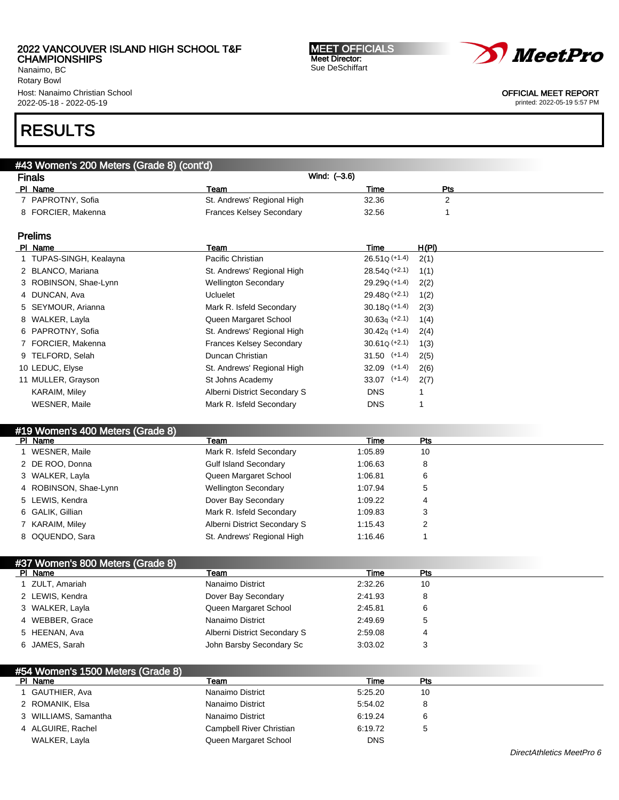Nanaimo, BC Rotary Bowl Host: Nanaimo Christian School 2022-05-18 - 2022-05-19

#### MEET OFFICIALS Meet Director: Sue DeSchiffart



OFFICIAL MEET REPORT

printed: 2022-05-19 5:57 PM

# RESULTS

| #43 Women's 200 Meters (Grade 8) (cont'd) |                                 |                     |       |
|-------------------------------------------|---------------------------------|---------------------|-------|
| <b>Finals</b>                             | Wind: (-3.6)                    |                     |       |
| PI Name                                   | Team                            | Time                | Pts   |
| 7 PAPROTNY, Sofia                         | St. Andrews' Regional High      | 32.36               | 2     |
| 8 FORCIER, Makenna                        | <b>Frances Kelsey Secondary</b> | 32.56               |       |
| <b>Prelims</b>                            |                                 |                     |       |
| PI Name                                   | Team                            | Time                | H(PI) |
| 1 TUPAS-SINGH, Kealayna                   | Pacific Christian               | $26.51Q (+1.4)$     | 2(1)  |
| 2 BLANCO, Mariana                         | St. Andrews' Regional High      | $28.54Q (+2.1)$     | 1(1)  |
| 3 ROBINSON, Shae-Lynn                     | <b>Wellington Secondary</b>     | $29.29Q (+1.4)$     | 2(2)  |
| 4 DUNCAN, Ava                             | <b>Ucluelet</b>                 | $29.48Q (+2.1)$     | 1(2)  |
| 5 SEYMOUR, Arianna                        | Mark R. Isfeld Secondary        | $30.18Q (+1.4)$     | 2(3)  |
| 8 WALKER, Layla                           | Queen Margaret School           | $30.63q (+2.1)$     | 1(4)  |
| _ _ . _ _ _ _ _ _ .                       |                                 | -- -- ( ) ) - - - - |       |

| 6 PAPROTNY, Sofia    | St. Andrews' Regional High      | $30.42a$ (+1.4)  | 2(4) |
|----------------------|---------------------------------|------------------|------|
| 7 FORCIER, Makenna   | <b>Frances Kelsey Secondary</b> | $30.61Q (+2.1)$  | 1(3) |
| 9 TELFORD, Selah     | Duncan Christian                | $31.50$ (+1.4)   | 2(5) |
| 10 LEDUC, Elyse      | St. Andrews' Regional High      | $32.09$ $(+1.4)$ | 2(6) |
| 11 MULLER, Grayson   | St Johns Academy                | $33.07$ (+1.4)   | 2(7) |
| <b>KARAIM, Miley</b> | Alberni District Secondary S    | <b>DNS</b>       |      |
| <b>WESNER, Maile</b> | Mark R. Isfeld Secondary        | <b>DNS</b>       |      |

#### #19 Women's 400 Meters (Grade 8)

| PI Name               | Team                         | Time    | Pts |  |
|-----------------------|------------------------------|---------|-----|--|
| WESNER, Maile         | Mark R. Isfeld Secondary     | 1:05.89 | 10  |  |
| 2 DE ROO, Donna       | <b>Gulf Island Secondary</b> | 1:06.63 | 8   |  |
| 3 WALKER, Layla       | Queen Margaret School        | 1:06.81 | 6   |  |
| 4 ROBINSON, Shae-Lynn | <b>Wellington Secondary</b>  | 1:07.94 | 5   |  |
| 5 LEWIS, Kendra       | Dover Bay Secondary          | 1:09.22 | 4   |  |
| 6 GALIK, Gillian      | Mark R. Isfeld Secondary     | 1:09.83 | 3   |  |
| 7 KARAIM, Miley       | Alberni District Secondary S | 1:15.43 |     |  |
| 8 OQUENDO, Sara       | St. Andrews' Regional High   | 1:16.46 |     |  |

| #37 Women's 800 Meters (Grade 8) |                              |         |     |  |
|----------------------------------|------------------------------|---------|-----|--|
| PI Name                          | Team                         | Time    | Pts |  |
| 1 ZULT, Amariah                  | Nanaimo District             | 2:32.26 | 10  |  |
| 2 LEWIS, Kendra                  | Dover Bay Secondary          | 2:41.93 | 8   |  |
| 3 WALKER, Layla                  | Queen Margaret School        | 2:45.81 | 6   |  |
| 4 WEBBER, Grace                  | Nanaimo District             | 2:49.69 | 5   |  |
| 5 HEENAN, Ava                    | Alberni District Secondary S | 2:59.08 | 4   |  |
| 6 JAMES, Sarah                   | John Barsby Secondary Sc     | 3:03.02 | 3   |  |

| #54 Women's 1500 Meters (Grade 8) |                          |            |     |  |
|-----------------------------------|--------------------------|------------|-----|--|
| PI Name                           | Team                     | Time       | Pts |  |
| 1 GAUTHIER, Ava                   | Nanaimo District         | 5:25.20    | 10  |  |
| 2 ROMANIK, Elsa                   | Nanaimo District         | 5:54.02    | 8   |  |
| 3 WILLIAMS, Samantha              | Nanaimo District         | 6:19.24    | 6   |  |
| 4 ALGUIRE, Rachel                 | Campbell River Christian | 6:19.72    | 5   |  |
| WALKER, Layla                     | Queen Margaret School    | <b>DNS</b> |     |  |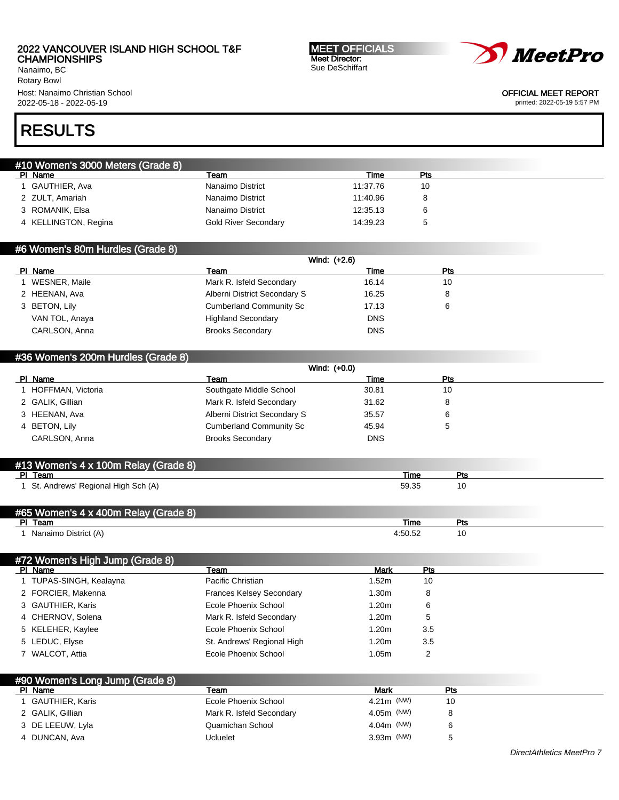Nanaimo, BC Rotary Bowl Host: Nanaimo Christian School 2022-05-18 - 2022-05-19

#### MEET OFFICIALS Meet Director: Sue DeSchiffart

*MeetPro* 

OFFICIAL MEET REPORT

printed: 2022-05-19 5:57 PM

# RESULTS

| #10 Women's 3000 Meters (Grade 8) |                      |          |              |  |
|-----------------------------------|----------------------|----------|--------------|--|
| PI Name                           | Team                 | Time     | Pts          |  |
| GAUTHIER, Ava                     | Nanaimo District     | 11:37.76 | 10           |  |
| 2 ZULT, Amariah                   | Nanaimo District     | 11:40.96 | 8            |  |
| 3 ROMANIK, Elsa                   | Nanaimo District     | 12:35.13 | 6            |  |
| 4 KELLINGTON, Regina              | Gold River Secondary | 14:39.23 | <sub>5</sub> |  |
|                                   |                      |          |              |  |

#### #6 Women's 80m Hurdles (Grade 8)

| Wind: (+2.6)   |                                |            |            |  |
|----------------|--------------------------------|------------|------------|--|
| PI Name        | Team                           | Time       | <b>Pts</b> |  |
| WESNER, Maile  | Mark R. Isfeld Secondary       | 16.14      | 10         |  |
| 2 HEENAN, Ava  | Alberni District Secondary S   | 16.25      |            |  |
| 3 BETON, Lily  | <b>Cumberland Community Sc</b> | 17.13      |            |  |
| VAN TOL, Anaya | <b>Highland Secondary</b>      | <b>DNS</b> |            |  |
| CARLSON, Anna  | <b>Brooks Secondary</b>        | <b>DNS</b> |            |  |

#### #36 Women's 200m Hurdles (Grade 8)

| Wind: (+0.0)                   |            |     |  |
|--------------------------------|------------|-----|--|
| Team                           | Time       | Pts |  |
| Southgate Middle School        | 30.81      | 10  |  |
| Mark R. Isfeld Secondary       | 31.62      |     |  |
| Alberni District Secondary S   | 35.57      |     |  |
| <b>Cumberland Community Sc</b> | 45.94      |     |  |
| <b>Brooks Secondary</b>        | <b>DNS</b> |     |  |
|                                |            |     |  |

| #13 Women's 4 x 100m Relay (Grade 8) |       |  |
|--------------------------------------|-------|--|
| PI Team                              | Time  |  |
| 1 St. Andrews' Regional High Sch (A) | 59.35 |  |

| #65 Women's 4 x 400m Relay (Grade 8) |      |     |  |
|--------------------------------------|------|-----|--|
| DI.<br>Team                          | Time | гv. |  |
| Nanaimo District (A)                 |      |     |  |

#### #72 Women's High Jump (Grade 8) Pl Name Team Mark Pts 1 TUPAS-SINGH, Kealayna **1.52m** Pacific Christian 1.52m 10 2 FORCIER, Makenna **Frances Kelsey Secondary** 1.30m 8 3 GAUTHIER, Karis **Example 20 Franch Cole Phoenix School** 1.20m 6 4 CHERNOV, Solena **Mark R. Isfeld Secondary** 1.20m 5 5 KELEHER, Kaylee **Ecole Phoenix School** 1.20m 3.5 5 LEDUC, Elyse St. Andrews' Regional High 1.20m 3.5 7 WALCOT, Attia **Example 2** Ecole Phoenix School **1.05m** 2

| #90 Women's Long Jump (Grade 8) |                          |               |     |  |
|---------------------------------|--------------------------|---------------|-----|--|
| PI.<br>Name                     | Team                     | <b>Mark</b>   | Pts |  |
| GAUTHIER, Karis                 | Ecole Phoenix School     | 4.21 $m$ (NW) | 10  |  |
| 2 GALIK, Gillian                | Mark R. Isfeld Secondary | $4.05m$ (NW)  |     |  |
| 3 DE LEEUW, Lyla                | Quamichan School         | 4.04 $m$ (NW) |     |  |
| 4 DUNCAN, Ava                   | Ucluelet                 | $3.93m$ (NW)  |     |  |